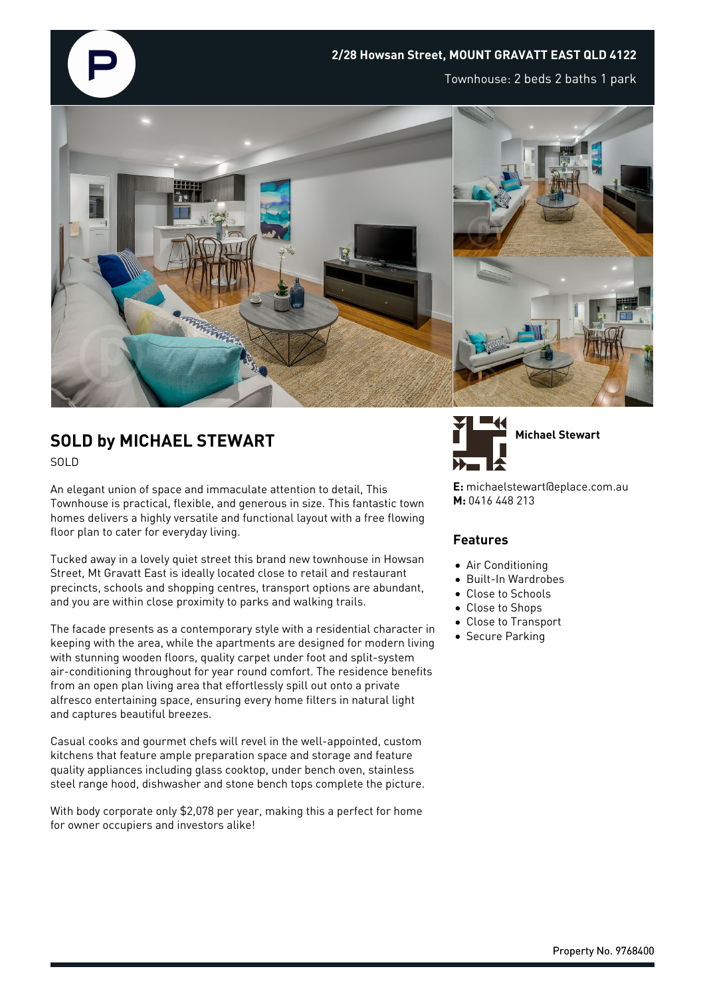

## **SOLD by MICHAEL STEWART** SOLD

An elegant union of space and immaculate attention to detail, This Townhouse is practical, flexible, and generous in size. This fantastic town homes delivers a highly versatile and functional layout with a free flowing floor plan to cater for everyday living.

Tucked away in a lovely quiet street this brand new townhouse in Howsan Street, Mt Gravatt East is ideally located close to retail and restaurant precincts, schools and shopping centres, transport options are abundant, and you are within close proximity to parks and walking trails.

The facade presents as a contemporary style with a residential character in keeping with the area, while the apartments are designed for modern living with stunning wooden floors, quality carpet under foot and split-system air-conditioning throughout for year round comfort. The residence benefits from an open plan living area that effortlessly spill out onto a private alfresco entertaining space, ensuring every home filters in natural light and captures beautiful breezes.

Casual cooks and gourmet chefs will revel in the well-appointed, custom kitchens that feature ample preparation space and storage and feature quality appliances including glass cooktop, under bench oven, stainless steel range hood, dishwasher and stone bench tops complete the picture.

With body corporate only \$2,078 per year, making this a perfect for home for owner occupiers and investors alike!



**E:** michaelstewart@eplace.com.au **M:** 0416 448 213

## **Features**

- Air Conditioning
- Built-In Wardrobes
- Close to Schools
- Close to Shops
- Close to Transport
- **•** Secure Parking